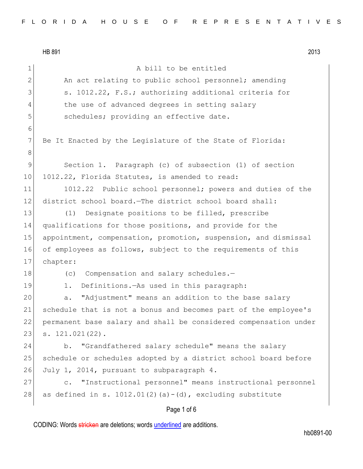HB 891 2013 Page 1 of 6 1 A bill to be entitled 2 An act relating to public school personnel; amending 3 S. 1012.22, F.S.; authorizing additional criteria for 4 the use of advanced degrees in setting salary 5 schedules; providing an effective date. 6 7 Be It Enacted by the Legislature of the State of Florida: 8 9 Section 1. Paragraph (c) of subsection (1) of section 10 1012.22, Florida Statutes, is amended to read: 11 1012.22 Public school personnel; powers and duties of the 12 district school board.—The district school board shall: 13 (1) Designate positions to be filled, prescribe 14 qualifications for those positions, and provide for the 15 appointment, compensation, promotion, suspension, and dismissal 16 of employees as follows, subject to the requirements of this 17 chapter: 18 (c) Compensation and salary schedules.-19 1. Definitions.—As used in this paragraph: 20 a. "Adjustment" means an addition to the base salary 21 schedule that is not a bonus and becomes part of the employee's 22 permanent base salary and shall be considered compensation under 23 s. 121.021(22). 24 b. "Grandfathered salary schedule" means the salary 25 | schedule or schedules adopted by a district school board before 26 July 1, 2014, pursuant to subparagraph 4. 27 c. "Instructional personnel" means instructional personnel 28 as defined in s. 1012.01(2)(a)-(d), excluding substitute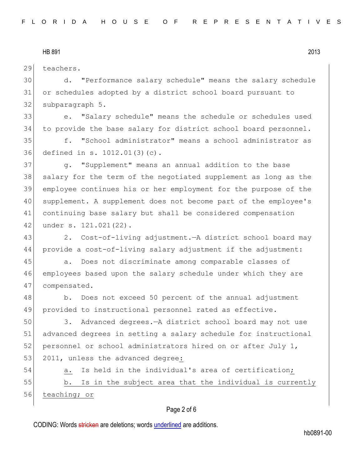29 teachers.

30 d. "Performance salary schedule" means the salary schedule 31 or schedules adopted by a district school board pursuant to 32 subparagraph 5.

33 e. "Salary schedule" means the schedule or schedules used 34 to provide the base salary for district school board personnel.

35 f. "School administrator" means a school administrator as 36 defined in s. 1012.01(3)(c).

37 g. "Supplement" means an annual addition to the base 38 salary for the term of the negotiated supplement as long as the 39 employee continues his or her employment for the purpose of the 40 supplement. A supplement does not become part of the employee's 41 continuing base salary but shall be considered compensation 42 under s. 121.021(22).

43 2. Cost-of-living adjustment.—A district school board may 44 provide a cost-of-living salary adjustment if the adjustment:

45 a. Does not discriminate among comparable classes of 46 employees based upon the salary schedule under which they are 47 compensated.

48 b. Does not exceed 50 percent of the annual adjustment 49 provided to instructional personnel rated as effective.

50 3. Advanced degrees.—A district school board may not use 51 advanced degrees in setting a salary schedule for instructional 52 personnel or school administrators hired on or after July  $1$ , 53 2011, unless the advanced degree:

54 a. Is held in the individual's area of certification;

55 b. Is in the subject area that the individual is currently 56 teaching; or

### Page 2 of 6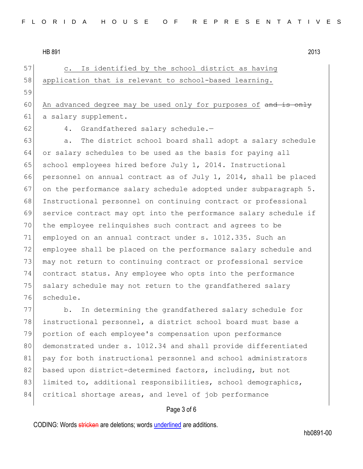57 c. Is identified by the school district as having 58 application that is relevant to school-based learning. 59 60 An advanced degree may be used only for purposes of and is only 61 a salary supplement. 62 4. Grandfathered salary schedule.-63 a. The district school board shall adopt a salary schedule 64 or salary schedules to be used as the basis for paying all 65 school employees hired before July 1, 2014. Instructional 66 personnel on annual contract as of July 1, 2014, shall be placed 67 on the performance salary schedule adopted under subparagraph  $5.$ 68 Instructional personnel on continuing contract or professional 69 service contract may opt into the performance salary schedule if 70 the employee relinquishes such contract and agrees to be 71 employed on an annual contract under s. 1012.335. Such an 72 employee shall be placed on the performance salary schedule and 73 may not return to continuing contract or professional service 74 contract status. Any employee who opts into the performance 75 salary schedule may not return to the grandfathered salary 76 schedule. 77 b. In determining the grandfathered salary schedule for

78 instructional personnel, a district school board must base a 79 portion of each employee's compensation upon performance 80 demonstrated under s. 1012.34 and shall provide differentiated 81 pay for both instructional personnel and school administrators 82 based upon district-determined factors, including, but not 83 limited to, additional responsibilities, school demographics, 84 critical shortage areas, and level of job performance

# Page 3 of 6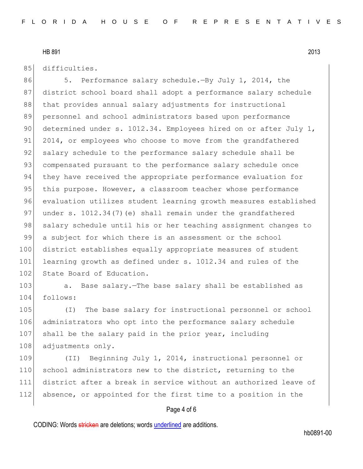85 difficulties.

86 5. Performance salary schedule.—By July 1, 2014, the 87 district school board shall adopt a performance salary schedule 88 that provides annual salary adjustments for instructional 89 personnel and school administrators based upon performance 90 determined under s. 1012.34. Employees hired on or after July 1, 91 2014, or employees who choose to move from the grandfathered 92 salary schedule to the performance salary schedule shall be 93 compensated pursuant to the performance salary schedule once 94 they have received the appropriate performance evaluation for 95 this purpose. However, a classroom teacher whose performance 96 evaluation utilizes student learning growth measures established 97 under s. 1012.34(7)(e) shall remain under the grandfathered 98 salary schedule until his or her teaching assignment changes to 99 a subject for which there is an assessment or the school 100 district establishes equally appropriate measures of student 101 learning growth as defined under s. 1012.34 and rules of the 102 State Board of Education.

103 a. Base salary.—The base salary shall be established as 104 follows:

105 (I) The base salary for instructional personnel or school 106 administrators who opt into the performance salary schedule 107 shall be the salary paid in the prior year, including 108 adjustments only.

 (II) Beginning July 1, 2014, instructional personnel or 110 school administrators new to the district, returning to the district after a break in service without an authorized leave of absence, or appointed for the first time to a position in the

### Page 4 of 6

CODING: Words stricken are deletions; words underlined are additions.

hb0891-00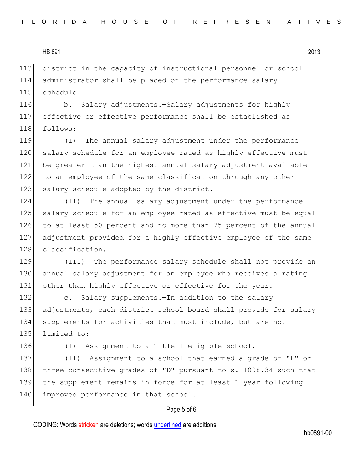113 district in the capacity of instructional personnel or school 114 administrator shall be placed on the performance salary 115 schedule.

116 b. Salary adjustments.—Salary adjustments for highly 117 effective or effective performance shall be established as 118 follows:

119 (I) The annual salary adjustment under the performance 120 salary schedule for an employee rated as highly effective must 121 be greater than the highest annual salary adjustment available 122 to an employee of the same classification through any other 123 salary schedule adopted by the district.

124 (II) The annual salary adjustment under the performance 125 salary schedule for an employee rated as effective must be equal 126 to at least 50 percent and no more than 75 percent of the annual 127 adjustment provided for a highly effective employee of the same 128 classification.

129 (III) The performance salary schedule shall not provide an 130 annual salary adjustment for an employee who receives a rating 131 other than highly effective or effective for the year.

132 c. Salary supplements.—In addition to the salary 133 adjustments, each district school board shall provide for salary 134 supplements for activities that must include, but are not 135 limited to:

136 (I) Assignment to a Title I eligible school.

137 (II) Assignment to a school that earned a grade of "F" or 138 three consecutive grades of "D" pursuant to s. 1008.34 such that 139 the supplement remains in force for at least 1 year following 140 improved performance in that school.

### Page 5 of 6